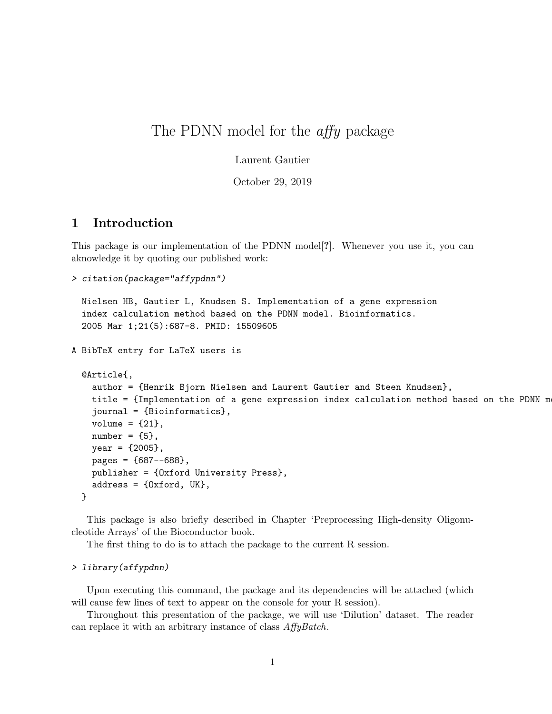# The PDNN model for the *affy* package

Laurent Gautier

October 29, 2019

#### 1 Introduction

This package is our implementation of the PDNN model[?]. Whenever you use it, you can aknowledge it by quoting our published work:

```
> citation(package="affypdnn")
```

```
Nielsen HB, Gautier L, Knudsen S. Implementation of a gene expression
  index calculation method based on the PDNN model. Bioinformatics.
  2005 Mar 1;21(5):687-8. PMID: 15509605
A BibTeX entry for LaTeX users is
  @Article{,
    author = {Henrik Bjorn Nielsen and Laurent Gautier and Steen Knudsen},
    title = {Implementation of a gene expression index calculation method based on the PDNN mjournal = {Bioinformatics},
    volume = {21},
    number = {5},year = {2005},
    pages = {687--688},
    publisher = {Oxford University Press},
    address = {Oxford, UK},
  }
```
This package is also briefly described in Chapter 'Preprocessing High-density Oligonucleotide Arrays' of the Bioconductor book.

The first thing to do is to attach the package to the current R session.

#### > library(affypdnn)

Upon executing this command, the package and its dependencies will be attached (which will cause few lines of text to appear on the console for your R session).

Throughout this presentation of the package, we will use 'Dilution' dataset. The reader can replace it with an arbitrary instance of class AffyBatch.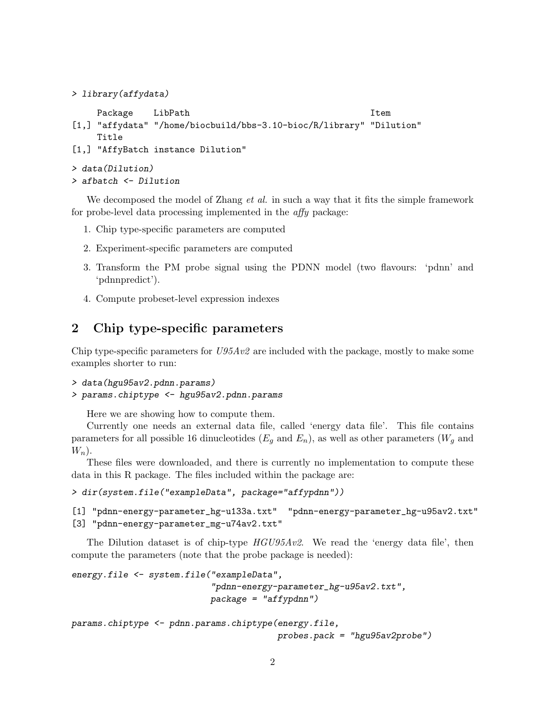```
> library(affydata)
```

```
Package LibPath Item Item
[1,] "affydata" "/home/biocbuild/bbs-3.10-bioc/R/library" "Dilution"
    Title
[1,] "AffyBatch instance Dilution"
> data(Dilution)
> afbatch <- Dilution
```
We decomposed the model of Zhang *et al.* in such a way that it fits the simple framework for probe-level data processing implemented in the affy package:

- 1. Chip type-specific parameters are computed
- 2. Experiment-specific parameters are computed
- 3. Transform the PM probe signal using the PDNN model (two flavours: 'pdnn' and 'pdnnpredict').
- 4. Compute probeset-level expression indexes

### 2 Chip type-specific parameters

Chip type-specific parameters for  $U95Av2$  are included with the package, mostly to make some examples shorter to run:

```
> data(hgu95av2.pdnn.params)
```

```
> params.chiptype <- hgu95av2.pdnn.params
```
Here we are showing how to compute them.

Currently one needs an external data file, called 'energy data file'. This file contains parameters for all possible 16 dinucleotides  $(E_q \text{ and } E_n)$ , as well as other parameters  $(W_q \text{ and }$  $W_n$ ).

These files were downloaded, and there is currently no implementation to compute these data in this R package. The files included within the package are:

```
> dir(system.file("exampleData", package="affypdnn"))
```
[1] "pdnn-energy-parameter\_hg-u133a.txt" "pdnn-energy-parameter\_hg-u95av2.txt" [3] "pdnn-energy-parameter\_mg-u74av2.txt"

The Dilution dataset is of chip-type  $HGU95Av2$ . We read the 'energy data file', then compute the parameters (note that the probe package is needed):

```
energy.file <- system.file("exampleData",
                           "pdnn-energy-parameter_hg-u95av2.txt",
                           package = "affypdnn")
```

```
params.chiptype <- pdnn.params.chiptype(energy.file,
                                        probes.pack = "hgu95av2probe")
```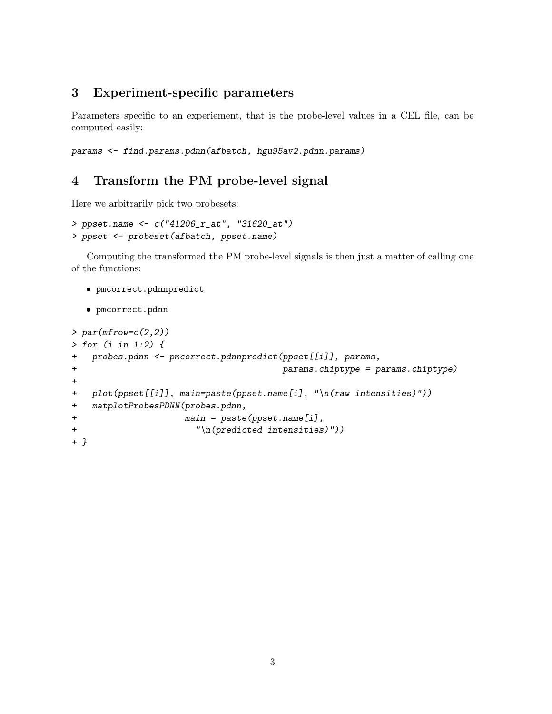## 3 Experiment-specific parameters

Parameters specific to an experiement, that is the probe-level values in a CEL file, can be computed easily:

params <- find.params.pdnn(afbatch, hgu95av2.pdnn.params)

# 4 Transform the PM probe-level signal

Here we arbitrarily pick two probesets:

```
> ppset.name <- c("41206_r_at", "31620_at")
> ppset <- probeset(afbatch, ppset.name)
```
Computing the transformed the PM probe-level signals is then just a matter of calling one of the functions:

```
 pmcorrect.pdnnpredict
```

```
 pmcorrect.pdnn
```

```
> par(mfrow=c(2,2))> for (i in 1:2) {
+ probes.pdnn <- pmcorrect.pdnnpredict(ppset[[i]], params,
+ params.chiptype = params.chiptype)
+
+ plot(ppset[[i]], main=paste(ppset.name[i], "\n(raw intensities)"))
+ matplotProbesPDNN(probes.pdnn,
+ main = paste(ppset.name[i],
+ "\n(predicted intensities)"))
+ }
```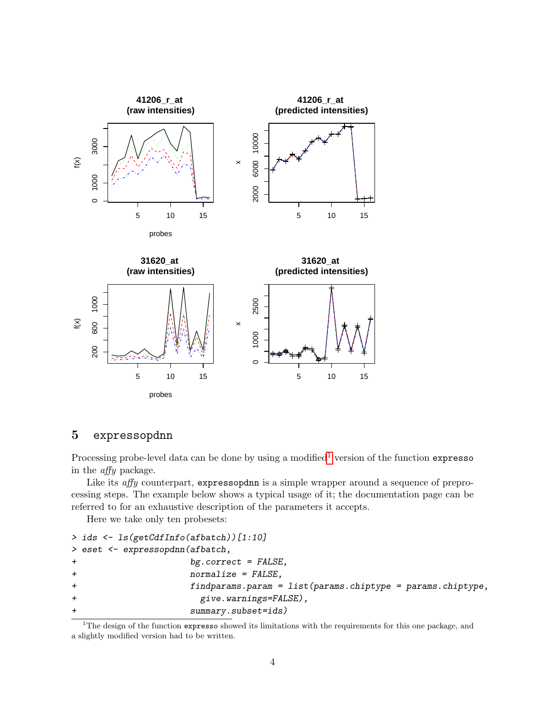

#### 5 expressopdnn

Processing probe-level data can be done by using a modified<sup>[1](#page-3-0)</sup> version of the function expresso in the affy package.

Like its *affy* counterpart, expressopdan is a simple wrapper around a sequence of preprocessing steps. The example below shows a typical usage of it; the documentation page can be referred to for an exhaustive description of the parameters it accepts.

Here we take only ten probesets:

```
> ids <- ls(getCdfInfo(afbatch))[1:10]
> eset <- expressopdnn(afbatch,
+ bg.correct = FALSE,
+ normalize = FALSE,
+ findparams.param = list(params.chiptype = params.chiptype,
+ give.warnings=FALSE),
+ summary.subset=ids)
```
<span id="page-3-0"></span> $1$ The design of the function expresso showed its limitations with the requirements for this one package, and a slightly modified version had to be written.